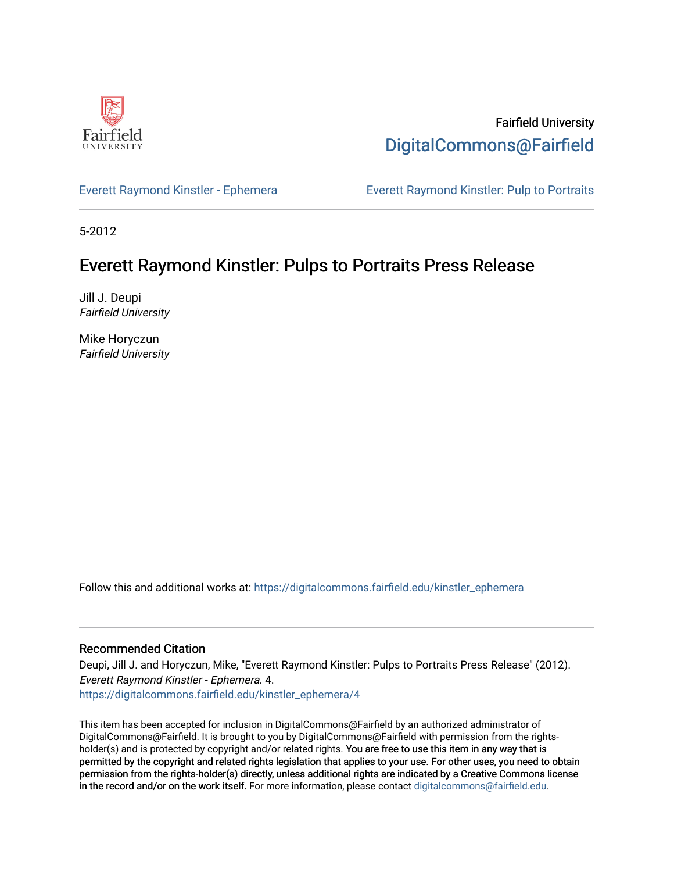

Fairfield University [DigitalCommons@Fairfield](https://digitalcommons.fairfield.edu/) 

[Everett Raymond Kinstler - Ephemera](https://digitalcommons.fairfield.edu/kinstler_ephemera) [Everett Raymond Kinstler: Pulp to Portraits](https://digitalcommons.fairfield.edu/kinstler) 

5-2012

## Everett Raymond Kinstler: Pulps to Portraits Press Release

Jill J. Deupi Fairfield University

Mike Horyczun Fairfield University

Follow this and additional works at: [https://digitalcommons.fairfield.edu/kinstler\\_ephemera](https://digitalcommons.fairfield.edu/kinstler_ephemera?utm_source=digitalcommons.fairfield.edu%2Fkinstler_ephemera%2F4&utm_medium=PDF&utm_campaign=PDFCoverPages)

## Recommended Citation

Deupi, Jill J. and Horyczun, Mike, "Everett Raymond Kinstler: Pulps to Portraits Press Release" (2012). Everett Raymond Kinstler - Ephemera. 4. [https://digitalcommons.fairfield.edu/kinstler\\_ephemera/4](https://digitalcommons.fairfield.edu/kinstler_ephemera/4?utm_source=digitalcommons.fairfield.edu%2Fkinstler_ephemera%2F4&utm_medium=PDF&utm_campaign=PDFCoverPages)

This item has been accepted for inclusion in DigitalCommons@Fairfield by an authorized administrator of DigitalCommons@Fairfield. It is brought to you by DigitalCommons@Fairfield with permission from the rightsholder(s) and is protected by copyright and/or related rights. You are free to use this item in any way that is permitted by the copyright and related rights legislation that applies to your use. For other uses, you need to obtain permission from the rights-holder(s) directly, unless additional rights are indicated by a Creative Commons license in the record and/or on the work itself. For more information, please contact [digitalcommons@fairfield.edu.](mailto:digitalcommons@fairfield.edu)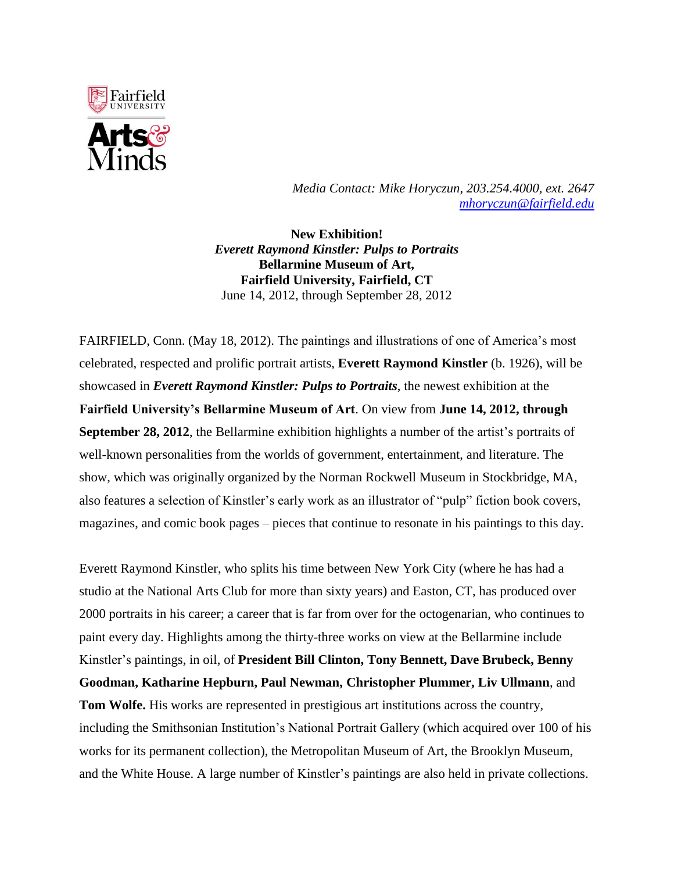

*Media Contact: Mike Horyczun, 203.254.4000, ext. 2647 [mhoryczun@fairfield.edu](mailto:mhoryczun@fairfield.edu)*

**New Exhibition!** *Everett Raymond Kinstler: Pulps to Portraits* **Bellarmine Museum of Art, Fairfield University, Fairfield, CT** June 14, 2012, through September 28, 2012

FAIRFIELD, Conn. (May 18, 2012). The paintings and illustrations of one of America's most celebrated, respected and prolific portrait artists, **Everett Raymond Kinstler** (b. 1926), will be showcased in *Everett Raymond Kinstler: Pulps to Portraits*, the newest exhibition at the **Fairfield University's Bellarmine Museum of Art**. On view from **June 14, 2012, through September 28, 2012**, the Bellarmine exhibition highlights a number of the artist's portraits of well-known personalities from the worlds of government, entertainment, and literature. The show, which was originally organized by the Norman Rockwell Museum in Stockbridge, MA, also features a selection of Kinstler's early work as an illustrator of "pulp" fiction book covers, magazines, and comic book pages – pieces that continue to resonate in his paintings to this day.

Everett Raymond Kinstler, who splits his time between New York City (where he has had a studio at the National Arts Club for more than sixty years) and Easton, CT, has produced over 2000 portraits in his career; a career that is far from over for the octogenarian, who continues to paint every day. Highlights among the thirty-three works on view at the Bellarmine include Kinstler's paintings, in oil, of **President Bill Clinton, Tony Bennett, Dave Brubeck, Benny Goodman, Katharine Hepburn, Paul Newman, Christopher Plummer, Liv Ullmann**, and **Tom Wolfe.** His works are represented in prestigious art institutions across the country, including the Smithsonian Institution's National Portrait Gallery (which acquired over 100 of his works for its permanent collection), the Metropolitan Museum of Art, the Brooklyn Museum, and the White House. A large number of Kinstler's paintings are also held in private collections.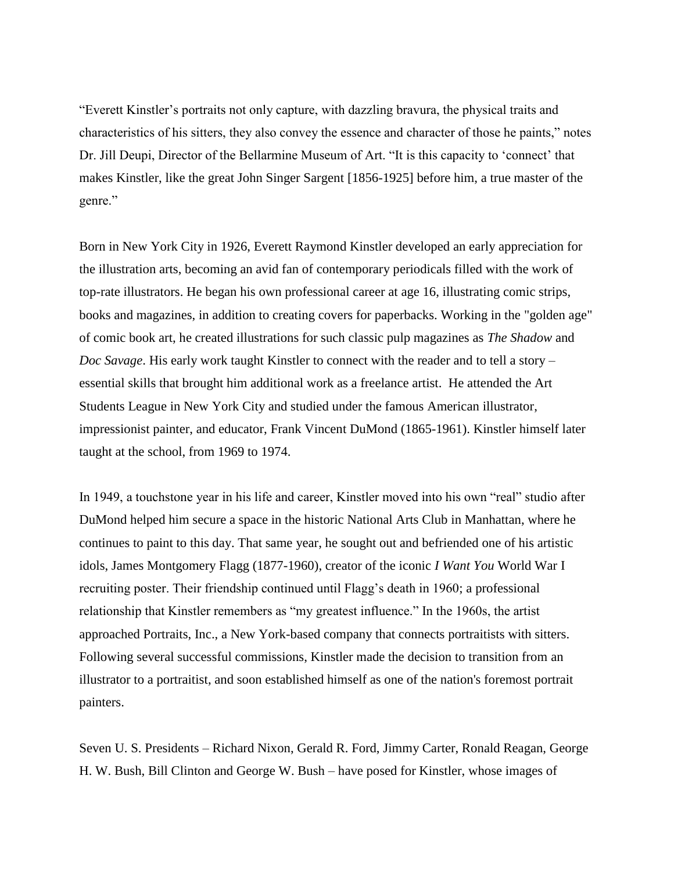"Everett Kinstler's portraits not only capture, with dazzling bravura, the physical traits and characteristics of his sitters, they also convey the essence and character of those he paints," notes Dr. Jill Deupi, Director of the Bellarmine Museum of Art. "It is this capacity to 'connect' that makes Kinstler, like the great John Singer Sargent [1856-1925] before him, a true master of the genre."

Born in New York City in 1926, Everett Raymond Kinstler developed an early appreciation for the illustration arts, becoming an avid fan of contemporary periodicals filled with the work of top-rate illustrators. He began his own professional career at age 16, illustrating comic strips, books and magazines, in addition to creating covers for paperbacks. Working in the "golden age" of comic book art, he created illustrations for such classic pulp magazines as *The Shadow* and *Doc Savage*. His early work taught Kinstler to connect with the reader and to tell a story – essential skills that brought him additional work as a freelance artist. He attended the Art Students League in New York City and studied under the famous American illustrator, impressionist painter, and educator, Frank Vincent DuMond (1865-1961). Kinstler himself later taught at the school, from 1969 to 1974.

In 1949, a touchstone year in his life and career, Kinstler moved into his own "real" studio after DuMond helped him secure a space in the historic National Arts Club in Manhattan, where he continues to paint to this day. That same year, he sought out and befriended one of his artistic idols, James Montgomery Flagg (1877-1960), creator of the iconic *I Want You* World War I recruiting poster. Their friendship continued until Flagg's death in 1960; a professional relationship that Kinstler remembers as "my greatest influence." In the 1960s, the artist approached Portraits, Inc., a New York-based company that connects portraitists with sitters. Following several successful commissions, Kinstler made the decision to transition from an illustrator to a portraitist, and soon established himself as one of the nation's foremost portrait painters.

Seven U. S. Presidents – Richard Nixon, Gerald R. Ford, Jimmy Carter, Ronald Reagan, George H. W. Bush, Bill Clinton and George W. Bush – have posed for Kinstler, whose images of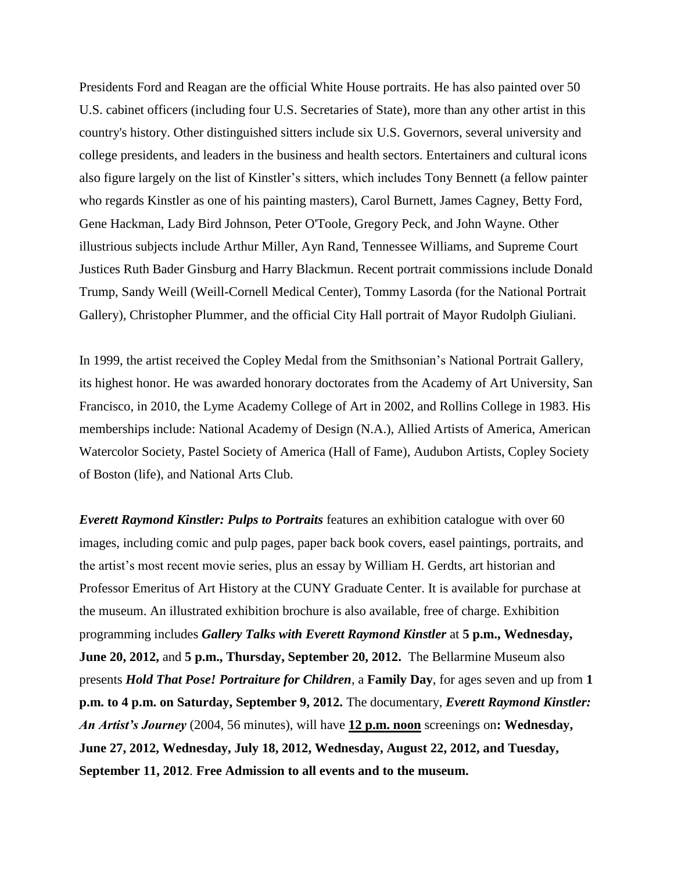Presidents Ford and Reagan are the official White House portraits. He has also painted over 50 U.S. cabinet officers (including four U.S. Secretaries of State), more than any other artist in this country's history. Other distinguished sitters include six U.S. Governors, several university and college presidents, and leaders in the business and health sectors. Entertainers and cultural icons also figure largely on the list of Kinstler's sitters, which includes Tony Bennett (a fellow painter who regards Kinstler as one of his painting masters), Carol Burnett, James Cagney, Betty Ford, Gene Hackman, Lady Bird Johnson, Peter O'Toole, Gregory Peck, and John Wayne. Other illustrious subjects include Arthur Miller, Ayn Rand, Tennessee Williams, and Supreme Court Justices Ruth Bader Ginsburg and Harry Blackmun. Recent portrait commissions include Donald Trump, Sandy Weill (Weill-Cornell Medical Center), Tommy Lasorda (for the National Portrait Gallery), Christopher Plummer, and the official City Hall portrait of Mayor Rudolph Giuliani.

In 1999, the artist received the Copley Medal from the Smithsonian's National Portrait Gallery, its highest honor. He was awarded honorary doctorates from the Academy of Art University, San Francisco, in 2010, the Lyme Academy College of Art in 2002, and Rollins College in 1983. His memberships include: National Academy of Design (N.A.), Allied Artists of America, American Watercolor Society, Pastel Society of America (Hall of Fame), Audubon Artists, Copley Society of Boston (life), and National Arts Club.

*Everett Raymond Kinstler: Pulps to Portraits* features an exhibition catalogue with over 60 images, including comic and pulp pages, paper back book covers, easel paintings, portraits, and the artist's most recent movie series, plus an essay by William H. Gerdts, art historian and Professor Emeritus of Art History at the CUNY Graduate Center. It is available for purchase at the museum. An illustrated exhibition brochure is also available, free of charge. Exhibition programming includes *Gallery Talks with Everett Raymond Kinstler* at **5 p.m., Wednesday, June 20, 2012,** and **5 p.m., Thursday, September 20, 2012.** The Bellarmine Museum also presents *Hold That Pose! Portraiture for Children*, a **Family Day**, for ages seven and up from **1 p.m. to 4 p.m. on Saturday, September 9, 2012.** The documentary, *Everett Raymond Kinstler: An Artist's Journey* (2004, 56 minutes), will have **12 p.m. noon** screenings on**: Wednesday, June 27, 2012, Wednesday, July 18, 2012, Wednesday, August 22, 2012, and Tuesday, September 11, 2012**. **Free Admission to all events and to the museum.**